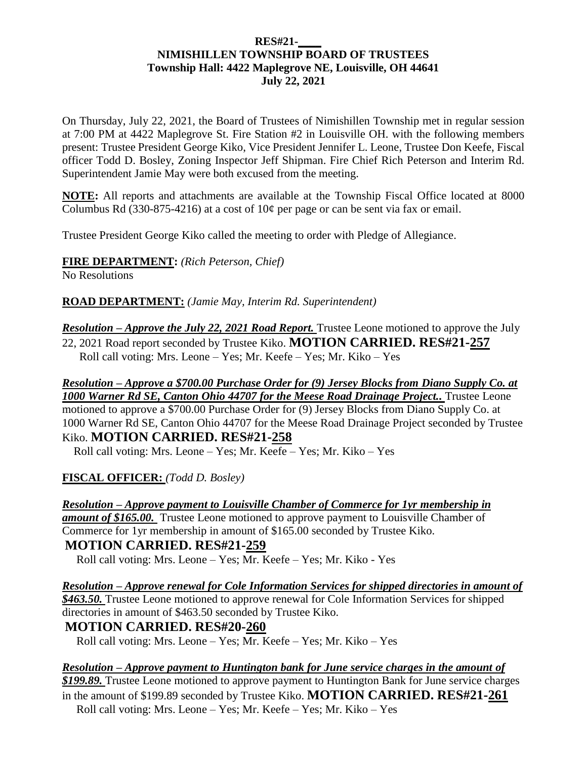#### **RES#21-\_\_\_\_ NIMISHILLEN TOWNSHIP BOARD OF TRUSTEES Township Hall: 4422 Maplegrove NE, Louisville, OH 44641 July 22, 2021**

On Thursday, July 22, 2021, the Board of Trustees of Nimishillen Township met in regular session at 7:00 PM at 4422 Maplegrove St. Fire Station #2 in Louisville OH. with the following members present: Trustee President George Kiko, Vice President Jennifer L. Leone, Trustee Don Keefe, Fiscal officer Todd D. Bosley, Zoning Inspector Jeff Shipman. Fire Chief Rich Peterson and Interim Rd. Superintendent Jamie May were both excused from the meeting.

**NOTE:** All reports and attachments are available at the Township Fiscal Office located at 8000 Columbus Rd (330-875-4216) at a cost of  $10¢$  per page or can be sent via fax or email.

Trustee President George Kiko called the meeting to order with Pledge of Allegiance.

**FIRE DEPARTMENT:** *(Rich Peterson, Chief)*

No Resolutions

**ROAD DEPARTMENT:** *(Jamie May, Interim Rd. Superintendent)*

*Resolution – Approve the July 22, 2021 Road Report.* Trustee Leone motioned to approve the July 22, 2021 Road report seconded by Trustee Kiko. **MOTION CARRIED. RES#21-257** Roll call voting: Mrs. Leone – Yes; Mr. Keefe – Yes; Mr. Kiko – Yes

*Resolution – Approve a \$700.00 Purchase Order for (9) Jersey Blocks from Diano Supply Co. at*  1000 Warner Rd SE, Canton Ohio 44707 for the Meese Road Drainage Project.. Trustee Leone motioned to approve a \$700.00 Purchase Order for (9) Jersey Blocks from Diano Supply Co. at 1000 Warner Rd SE, Canton Ohio 44707 for the Meese Road Drainage Project seconded by Trustee Kiko. **MOTION CARRIED. RES#21-258**

Roll call voting: Mrs. Leone – Yes; Mr. Keefe – Yes; Mr. Kiko – Yes

**FISCAL OFFICER:** *(Todd D. Bosley)*

*Resolution – Approve payment to Louisville Chamber of Commerce for 1yr membership in amount of \$165.00.* Trustee Leone motioned to approve payment to Louisville Chamber of Commerce for 1yr membership in amount of \$165.00 seconded by Trustee Kiko. **MOTION CARRIED. RES#21-259**

Roll call voting: Mrs. Leone – Yes; Mr. Keefe – Yes; Mr. Kiko - Yes

*Resolution – Approve renewal for Cole Information Services for shipped directories in amount of*  \$463.50. Trustee Leone motioned to approve renewal for Cole Information Services for shipped directories in amount of \$463.50 seconded by Trustee Kiko.

### **MOTION CARRIED. RES#20-260**

Roll call voting: Mrs. Leone – Yes; Mr. Keefe – Yes; Mr. Kiko – Yes

*Resolution – Approve payment to Huntington bank for June service charges in the amount of \$199.89.* Trustee Leone motioned to approve payment to Huntington Bank for June service charges in the amount of \$199.89 seconded by Trustee Kiko. **MOTION CARRIED. RES#21-261** Roll call voting: Mrs. Leone – Yes; Mr. Keefe – Yes; Mr. Kiko – Yes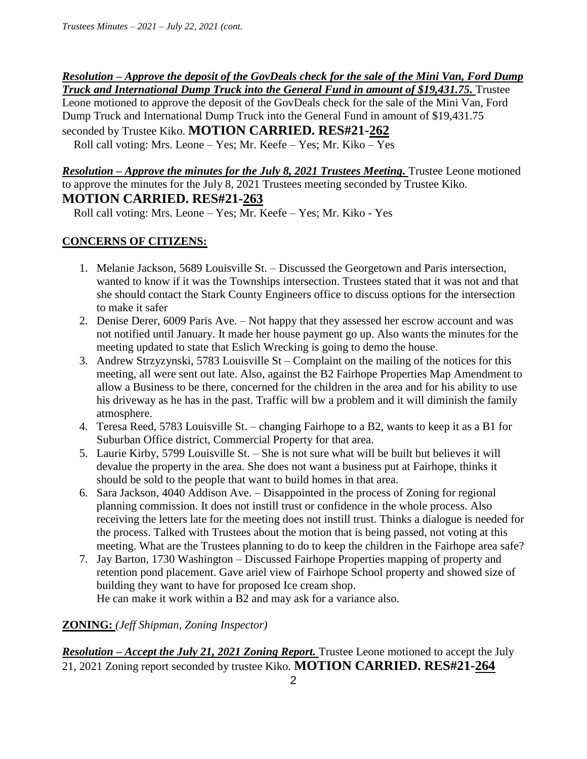*Resolution – Approve the deposit of the GovDeals check for the sale of the Mini Van, Ford Dump Truck and International Dump Truck into the General Fund in amount of \$19,431.75.* Trustee Leone motioned to approve the deposit of the GovDeals check for the sale of the Mini Van, Ford Dump Truck and International Dump Truck into the General Fund in amount of \$19,431.75 seconded by Trustee Kiko. **MOTION CARRIED. RES#21-262**

Roll call voting: Mrs. Leone – Yes; Mr. Keefe – Yes; Mr. Kiko – Yes

*Resolution – Approve the minutes for the July 8, 2021 Trustees Meeting. Trustee Leone motioned* to approve the minutes for the July 8, 2021 Trustees meeting seconded by Trustee Kiko. **MOTION CARRIED. RES#21-263**

Roll call voting: Mrs. Leone – Yes; Mr. Keefe – Yes; Mr. Kiko - Yes

## **CONCERNS OF CITIZENS:**

- 1. Melanie Jackson, 5689 Louisville St. Discussed the Georgetown and Paris intersection, wanted to know if it was the Townships intersection. Trustees stated that it was not and that she should contact the Stark County Engineers office to discuss options for the intersection to make it safer
- 2. Denise Derer, 6009 Paris Ave. Not happy that they assessed her escrow account and was not notified until January. It made her house payment go up. Also wants the minutes for the meeting updated to state that Eslich Wrecking is going to demo the house.
- 3. Andrew Strzyzynski, 5783 Louisville St Complaint on the mailing of the notices for this meeting, all were sent out late. Also, against the B2 Fairhope Properties Map Amendment to allow a Business to be there, concerned for the children in the area and for his ability to use his driveway as he has in the past. Traffic will bw a problem and it will diminish the family atmosphere.
- 4. Teresa Reed, 5783 Louisville St. changing Fairhope to a B2, wants to keep it as a B1 for Suburban Office district, Commercial Property for that area.
- 5. Laurie Kirby, 5799 Louisville St. She is not sure what will be built but believes it will devalue the property in the area. She does not want a business put at Fairhope, thinks it should be sold to the people that want to build homes in that area.
- 6. Sara Jackson, 4040 Addison Ave. Disappointed in the process of Zoning for regional planning commission. It does not instill trust or confidence in the whole process. Also receiving the letters late for the meeting does not instill trust. Thinks a dialogue is needed for the process. Talked with Trustees about the motion that is being passed, not voting at this meeting. What are the Trustees planning to do to keep the children in the Fairhope area safe?
- 7. Jay Barton, 1730 Washington Discussed Fairhope Properties mapping of property and retention pond placement. Gave ariel view of Fairhope School property and showed size of building they want to have for proposed Ice cream shop. He can make it work within a B2 and may ask for a variance also.

# **ZONING:** *(Jeff Shipman, Zoning Inspector)*

*Resolution – Accept the July 21, 2021 Zoning Report.* Trustee Leone motioned to accept the July 21, 2021 Zoning report seconded by trustee Kiko. **MOTION CARRIED. RES#21-264**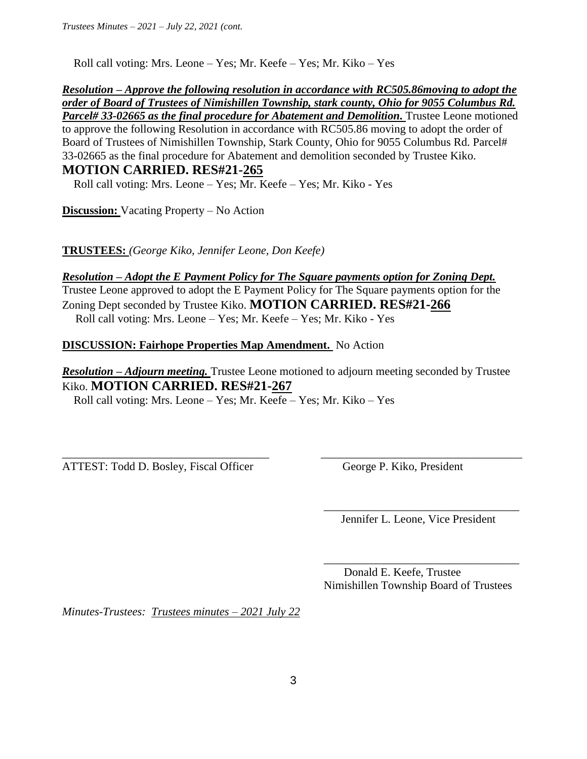Roll call voting: Mrs. Leone – Yes; Mr. Keefe – Yes; Mr. Kiko – Yes

*Resolution – Approve the following resolution in accordance with RC505.86moving to adopt the order of Board of Trustees of Nimishillen Township, stark county, Ohio for 9055 Columbus Rd.*  Parcel# 33-02665 as the final procedure for Abatement and Demolition. Trustee Leone motioned to approve the following Resolution in accordance with RC505.86 moving to adopt the order of Board of Trustees of Nimishillen Township, Stark County, Ohio for 9055 Columbus Rd. Parcel# 33-02665 as the final procedure for Abatement and demolition seconded by Trustee Kiko. **MOTION CARRIED. RES#21-265**

## Roll call voting: Mrs. Leone – Yes; Mr. Keefe – Yes; Mr. Kiko - Yes

**Discussion:** Vacating Property – No Action

**TRUSTEES:** *(George Kiko, Jennifer Leone, Don Keefe)*

### *Resolution – Adopt the E Payment Policy for The Square payments option for Zoning Dept.*

Trustee Leone approved to adopt the E Payment Policy for The Square payments option for the Zoning Dept seconded by Trustee Kiko. **MOTION CARRIED. RES#21-266** Roll call voting: Mrs. Leone – Yes; Mr. Keefe – Yes; Mr. Kiko - Yes

### **DISCUSSION: Fairhope Properties Map Amendment.** No Action

*Resolution – Adjourn meeting.* Trustee Leone motioned to adjourn meeting seconded by Trustee Kiko. **MOTION CARRIED. RES#21-267**

 $\overline{\phantom{a}}$  , which is a set of the contract of the contract of the contract of the contract of the contract of the contract of the contract of the contract of the contract of the contract of the contract of the contract

Roll call voting: Mrs. Leone – Yes; Mr. Keefe – Yes; Mr. Kiko – Yes

\_\_\_\_\_\_\_\_\_\_\_\_\_\_\_\_\_\_\_\_\_\_\_\_\_\_\_\_\_\_\_\_\_\_\_\_ \_\_\_\_\_\_\_\_\_\_\_\_\_\_\_\_\_\_\_\_\_\_\_\_\_\_\_\_\_\_\_\_\_\_\_ ATTEST: Todd D. Bosley, Fiscal Officer George P. Kiko, President

Jennifer L. Leone, Vice President

 $\overline{\phantom{a}}$  , and the contract of the contract of the contract of the contract of the contract of the contract of the contract of the contract of the contract of the contract of the contract of the contract of the contrac Donald E. Keefe, Trustee Nimishillen Township Board of Trustees

*Minutes-Trustees: Trustees minutes – 2021 July 22*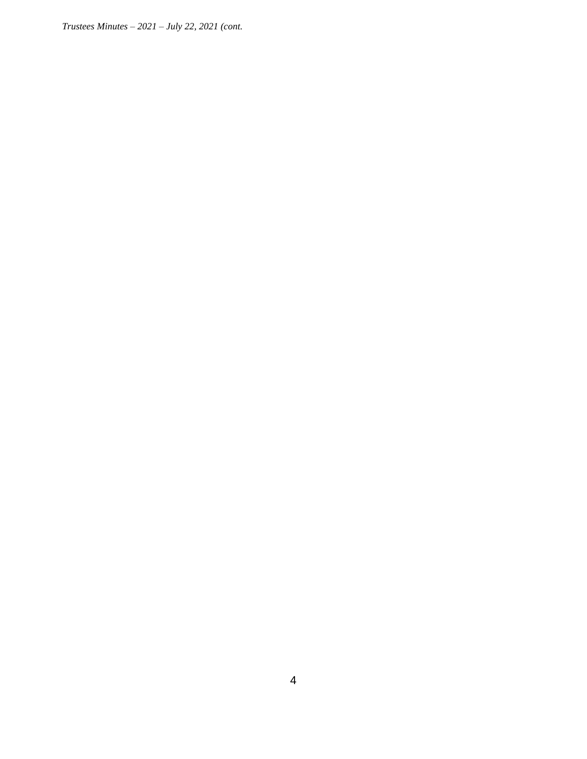*Trustees Minutes – 2021 – July 22, 2021 (cont.*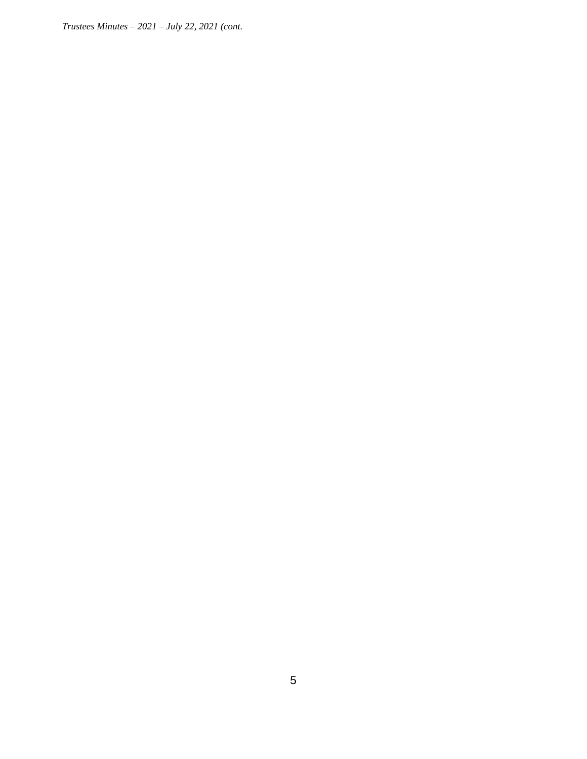*Trustees Minutes – 2021 – July 22, 2021 (cont.*